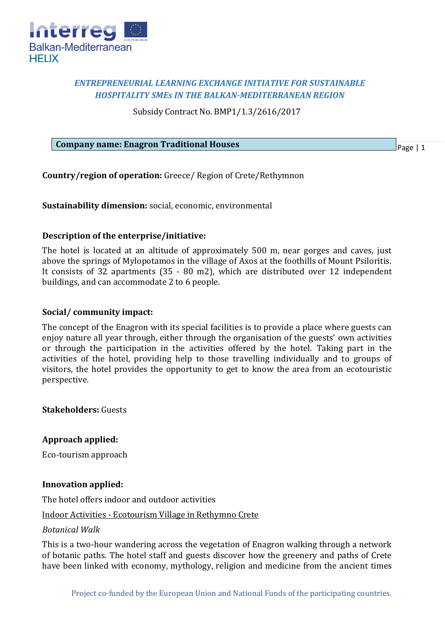

# *ENTREPRENEURIAL LEARNING EXCHANGE INITIATIVE FOR SUSTAINABLE HOSPITALITY SMEs IN THE BALKAN-MEDITERRANEAN REGION*

Subsidy Contract No. BMP1/1.3/2616/2017

### **Company name: Enagron Traditional Houses**

Page | 1

**Country/region of operation:** Greece/ Region of Crete/Rethymnon

**Sustainability dimension:** social, economic, environmental

## **Description of the enterprise/initiative:**

The hotel is located at an altitude of approximately 500 m, near gorges and caves, just above the springs of Mylopotamos in the village of Axos at the foothills of Mount Psiloritis. It consists of 32 apartments (35 - 80 m2), which are distributed over 12 independent buildings, and can accommodate 2 to 6 people.

## **Social/ community impact:**

The concept of the Enagron with its special facilities is to provide a place where guests can enjoy nature all year through, either through the organisation of the guests' own activities or through the participation in the activities offered by the hotel. Taking part in the activities of the hotel, providing help to those travelling individually and to groups of visitors, the hotel provides the opportunity to get to know the area from an ecotouristic perspective.

**Stakeholders:** Guests

**Approach applied:**

Eco-tourism approach

### **Innovation applied:**

The hotel offers indoor and outdoor activities

Indoor Activities - Ecotourism Village in Rethymno Crete

### *Botanical Walk*

This is a two-hour wandering across the vegetation of Enagron walking through a network of botanic paths. The hotel staff and guests discover how the greenery and paths of Crete have been linked with economy, mythology, religion and medicine from the ancient times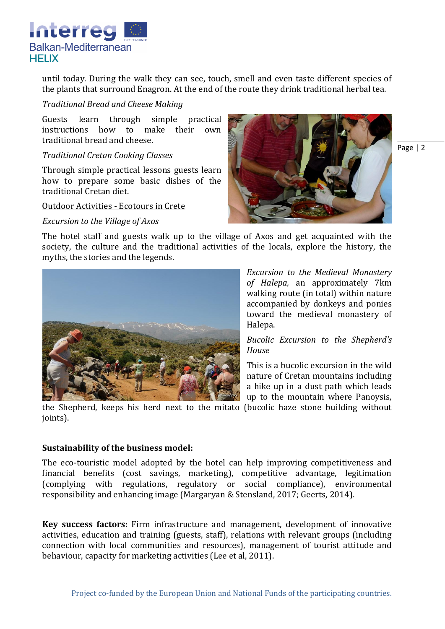

until today. During the walk they can see, touch, smell and even taste different species of the plants that surround Enagron. At the end of the route they drink traditional herbal tea.

## *Traditional Bread and Cheese Making*

Guests learn through simple practical instructions how to make their own traditional bread and cheese.

## *Traditional Cretan Cooking Classes*

Through simple practical lessons guests learn how to prepare some basic dishes of the traditional Cretan diet.

### Οutdoor Αctivities - Ecotours in Crete

*Excursion to the Village of Axos*





*Excursion to the Medieval Monastery of Halepa,* an approximately 7km walking route (in total) within nature accompanied by donkeys and ponies toward the medieval monastery of Halepa.

*Bucolic Excursion to the Shepherd's House*

This is a bucolic excursion in the wild nature of Cretan mountains including a hike up in a dust path which leads up to the mountain where Panoysis,

the Shepherd, keeps his herd next to the mitato (bucolic haze stone building without ioints).

### **Sustainability of the business model:**

The eco-touristic model adopted by the hotel can help improving competitiveness and financial benefits (cost savings, marketing), competitive advantage, legitimation (complying with regulations, regulatory or social compliance), environmental responsibility and enhancing image (Margaryan & Stensland, 2017; Geerts, 2014).

**Key success factors:** Firm infrastructure and management, development of innovative activities, education and training (guests, staff), relations with relevant groups (including connection with local communities and resources), management of tourist attitude and behaviour, capacity for marketing activities (Lee et al, 2011).

Page | 2